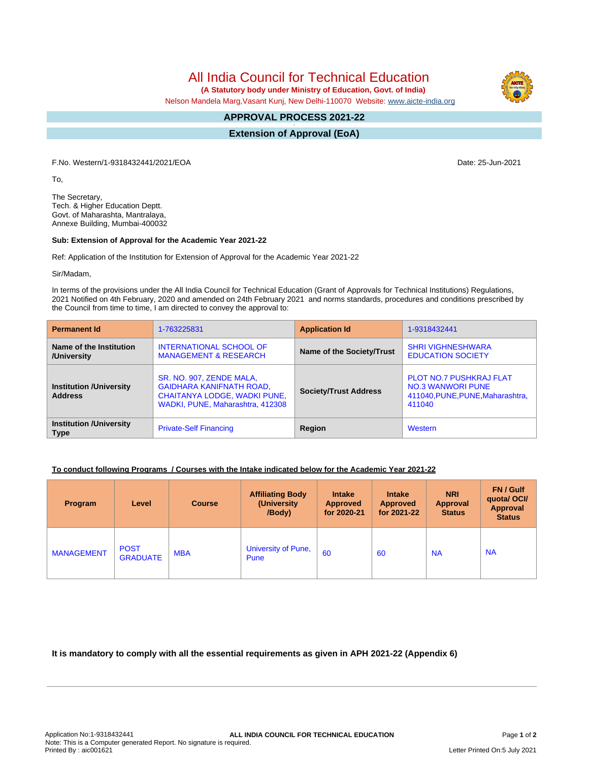All India Council for Technical Education

 **(A Statutory body under Ministry of Education, Govt. of India)**

Nelson Mandela Marg,Vasant Kunj, New Delhi-110070 Website: [www.aicte-india.org](http://www.aicte-india.org)

#### **APPROVAL PROCESS 2021-22 -**

**Extension of Approval (EoA)**

F.No. Western/1-9318432441/2021/EOA Date: 25-Jun-2021

To,

The Secretary, Tech. & Higher Education Deptt. Govt. of Maharashta, Mantralaya, Annexe Building, Mumbai-400032

### **Sub: Extension of Approval for the Academic Year 2021-22**

Ref: Application of the Institution for Extension of Approval for the Academic Year 2021-22

Sir/Madam,

In terms of the provisions under the All India Council for Technical Education (Grant of Approvals for Technical Institutions) Regulations, 2021 Notified on 4th February, 2020 and amended on 24th February 2021 and norms standards, procedures and conditions prescribed by the Council from time to time, I am directed to convey the approval to:

| <b>Permanent Id</b>                              | 1-763225831                                                                                                                     | <b>Application Id</b>        | 1-9318432441                                                                                             |  |
|--------------------------------------------------|---------------------------------------------------------------------------------------------------------------------------------|------------------------------|----------------------------------------------------------------------------------------------------------|--|
| Name of the Institution<br>/University           | <b>INTERNATIONAL SCHOOL OF</b><br><b>MANAGEMENT &amp; RESEARCH</b>                                                              | Name of the Society/Trust    | <b>SHRI VIGHNESHWARA</b><br><b>EDUCATION SOCIETY</b>                                                     |  |
| <b>Institution /University</b><br><b>Address</b> | SR. NO. 907, ZENDE MALA,<br><b>GAIDHARA KANIFNATH ROAD,</b><br>CHAITANYA LODGE, WADKI PUNE,<br>WADKI, PUNE, Maharashtra, 412308 | <b>Society/Trust Address</b> | <b>PLOT NO.7 PUSHKRAJ FLAT</b><br><b>NO.3 WANWORI PUNE</b><br>411040, PUNE, PUNE, Maharashtra,<br>411040 |  |
| <b>Institution /University</b><br><b>Type</b>    | <b>Private-Self Financing</b>                                                                                                   | Region                       | Western                                                                                                  |  |

# **To conduct following Programs / Courses with the Intake indicated below for the Academic Year 2021-22**

| Program           | Level                          | <b>Course</b> | <b>Affiliating Body</b><br>(University<br>/Body) | <b>Intake</b><br><b>Approved</b><br>for 2020-21 | <b>Intake</b><br><b>Approved</b><br>for 2021-22 | <b>NRI</b><br><b>Approval</b><br><b>Status</b> | FN / Gulf<br>quotal OCI/<br>Approval<br><b>Status</b> |
|-------------------|--------------------------------|---------------|--------------------------------------------------|-------------------------------------------------|-------------------------------------------------|------------------------------------------------|-------------------------------------------------------|
| <b>MANAGEMENT</b> | <b>POST</b><br><b>GRADUATE</b> | <b>MBA</b>    | University of Pune,<br>Pune                      | 60                                              | 60                                              | <b>NA</b>                                      | <b>NA</b>                                             |

**It is mandatory to comply with all the essential requirements as given in APH 2021-22 (Appendix 6)**